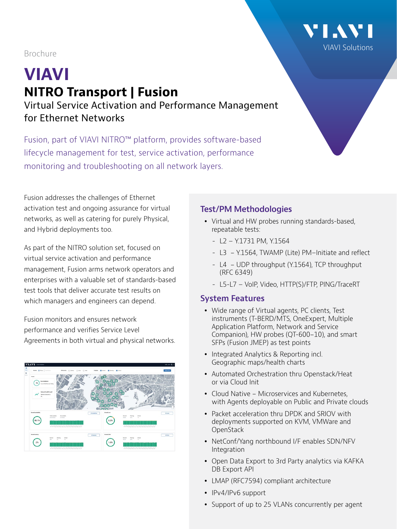## Brochure

# **VIAVI NITRO Transport | Fusion** Virtual Service Activation and Performance Management for Ethernet Networks

Fusion, part of VIAVI NITRO™ platform, provides software-based lifecycle management for test, service activation, performance monitoring and troubleshooting on all network layers.

Fusion addresses the challenges of Ethernet activation test and ongoing assurance for virtual networks, as well as catering for purely Physical, and Hybrid deployments too.

As part of the NITRO solution set, focused on virtual service activation and performance management, Fusion arms network operators and enterprises with a valuable set of standards-based test tools that deliver accurate test results on which managers and engineers can depend.

Fusion monitors and ensures network performance and verifies Service Level Agreements in both virtual and physical networks.



## **Test/PM Methodologies**

- Virtual and HW probes running standards-based, repeatable tests:
	- L2 Y.1731 PM, Y.1564
	- L3 Y.1564, TWAMP (Lite) PM–Initiate and reflect
	- L4 UDP throughput (Y.1564), TCP throughput (RFC 6349)
	- L5-L7 VoIP, Video, HTTP(S)/FTP, PING/TraceRT

#### **System Features**

- Wide range of Virtual agents, PC clients, Test instruments (T-BERD/MTS, OneExpert, Multiple Application Platform, Network and Service Companion), HW probes (QT-600-10), and smart SFPs (Fusion JMEP) as test points
- Integrated Analytics & Reporting incl. Geographic maps/health charts
- Automated Orchestration thru Openstack/Heat or via Cloud Init
- Cloud Native Microservices and Kubernetes, with Agents deployable on Public and Private clouds
- y Packet acceleration thru DPDK and SRIOV with deployments supported on KVM, VMWare and **OpenStack**
- NetConf/Yang northbound I/F enables SDN/NFV Integration
- Open Data Export to 3rd Party analytics via KAFKA DB Export API
- LMAP (RFC7594) compliant architecture
- IPv4/IPv6 support
- Support of up to 25 VLANs concurrently per agent

[VIAVI Solutions](https://www.viavisolutions.com/en-us)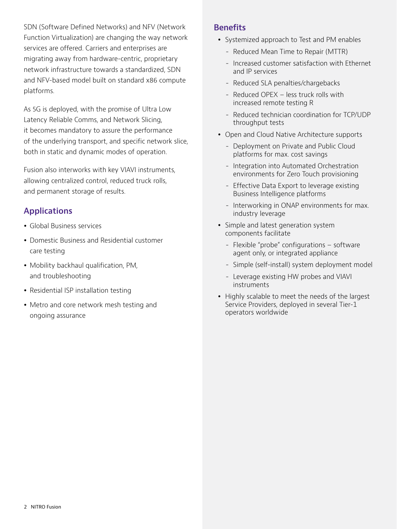SDN (Software Defined Networks) and NFV (Network Function Virtualization) are changing the way network services are offered. Carriers and enterprises are migrating away from hardware-centric, proprietary network infrastructure towards a standardized, SDN and NFV-based model built on standard x86 compute platforms.

As 5G is deployed, with the promise of Ultra Low Latency Reliable Comms, and Network Slicing, it becomes mandatory to assure the performance of the underlying transport, and specific network slice, both in static and dynamic modes of operation.

Fusion also interworks with key VIAVI instruments, allowing centralized control, reduced truck rolls, and permanent storage of results.

# **Applications**

- Global Business services
- Domestic Business and Residential customer care testing
- Mobility backhaul qualification, PM, and troubleshooting
- Residential ISP installation testing
- Metro and core network mesh testing and ongoing assurance

## **Benefits**

- Systemized approach to Test and PM enables
	- Reduced Mean Time to Repair (MTTR)
	- Increased customer satisfaction with Ethernet and IP services
	- Reduced SLA penalties/chargebacks
	- Reduced OPEX less truck rolls with increased remote testing R
	- Reduced technician coordination for TCP/UDP throughput tests
- Open and Cloud Native Architecture supports
	- Deployment on Private and Public Cloud platforms for max. cost savings
	- Integration into Automated Orchestration environments for Zero Touch provisioning
	- Effective Data Export to leverage existing Business Intelligence platforms
	- Interworking in ONAP environments for max. industry leverage
- Simple and latest generation system components facilitate
	- Flexible "probe" configurations software agent only, or integrated appliance
	- Simple (self-install) system deployment model
	- Leverage existing HW probes and VIAVI instruments
- Highly scalable to meet the needs of the largest Service Providers, deployed in several Tier-1 operators worldwide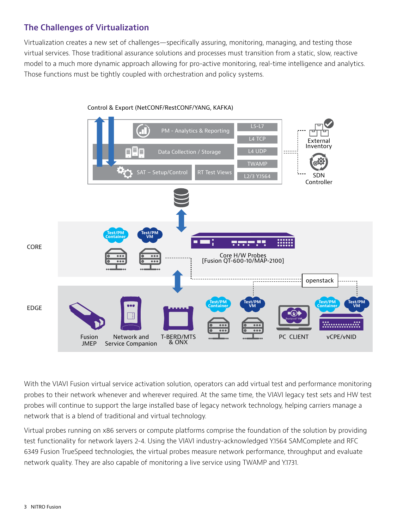# **The Challenges of Virtualization**

Virtualization creates a new set of challenges—specifically assuring, monitoring, managing, and testing those virtual services. Those traditional assurance solutions and processes must transition from a static, slow, reactive model to a much more dynamic approach allowing for pro-active monitoring, real-time intelligence and analytics. Those functions must be tightly coupled with orchestration and policy systems.



Control & Export (NetCONF/RestCONF/YANG, KAFKA)

With the VIAVI Fusion virtual service activation solution, operators can add virtual test and performance monitoring probes to their network whenever and wherever required. At the same time, the VIAVI legacy test sets and HW test probes will continue to support the large installed base of legacy network technology, helping carriers manage a network that is a blend of traditional and virtual technology.

Virtual probes running on x86 servers or compute platforms comprise the foundation of the solution by providing test functionality for network layers 2-4. Using the VIAVI industry-acknowledged Y.1564 SAMComplete and RFC 6349 Fusion TrueSpeed technologies, the virtual probes measure network performance, throughput and evaluate network quality. They are also capable of monitoring a live service using TWAMP and Y.1731.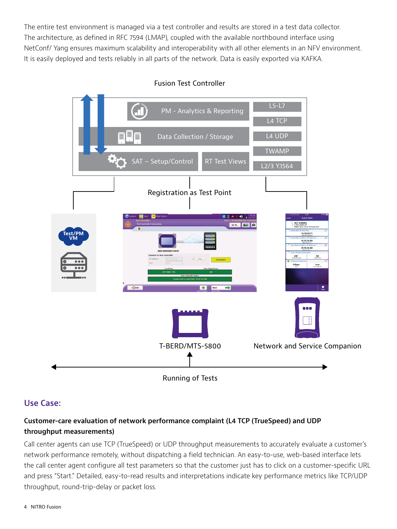The entire test environment is managed via a test controller and results are stored in a test data collector. The architecture, as defined in RFC 7594 (LMAP), coupled with the available northbound interface using NetConf/ Yang ensures maximum scalability and interoperability with all other elements in an NFV environment. It is easily deployed and tests reliably in all parts of the network. Data is easily exported via KAFKA.



#### Fusion Test Controller

## **Use Case:**

## **Customer-care evaluation of network performance complaint (L4 TCP (TrueSpeed) and UDP throughput measurements)**

Call center agents can use TCP (TrueSpeed) or UDP throughput measurements to accurately evaluate a customer's network performance remotely, without dispatching a field technician. An easy-to-use, web-based interface lets the call center agent configure all test parameters so that the customer just has to click on a customer-specific URL and press "Start." Detailed, easy-to-read results and interpretations indicate key performance metrics like TCP/UDP throughput, round-trip-delay or packet loss.